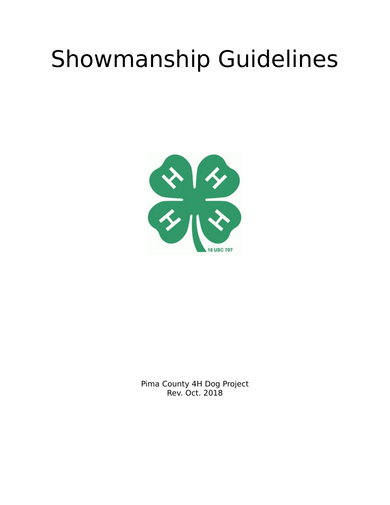# Showmanship Guidelines



Pima County 4H Dog Project Rev. Oct. 2018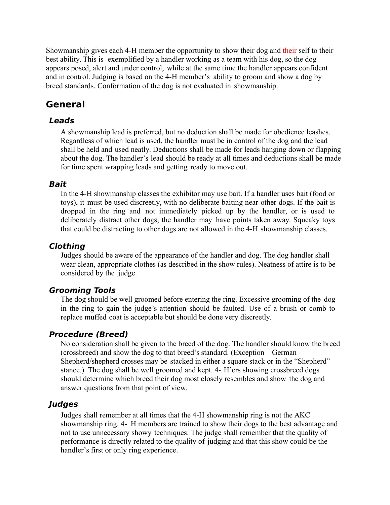Showmanship gives each 4-H member the opportunity to show their dog and their self to their best ability. This is exemplified by a handler working as a team with his dog, so the dog appears posed, alert and under control, while at the same time the handler appears confident and in control. Judging is based on the 4-H member's ability to groom and show a dog by breed standards. Conformation of the dog is not evaluated in showmanship.

## **General**

## **Leads**

A showmanship lead is preferred, but no deduction shall be made for obedience leashes. Regardless of which lead is used, the handler must be in control of the dog and the lead shall be held and used neatly. Deductions shall be made for leads hanging down or flapping about the dog. The handler's lead should be ready at all times and deductions shall be made for time spent wrapping leads and getting ready to move out.

## **Bait**

In the 4-H showmanship classes the exhibitor may use bait. If a handler uses bait (food or toys), it must be used discreetly, with no deliberate baiting near other dogs. If the bait is dropped in the ring and not immediately picked up by the handler, or is used to deliberately distract other dogs, the handler may have points taken away. Squeaky toys that could be distracting to other dogs are not allowed in the 4-H showmanship classes.

## **Clothing**

Judges should be aware of the appearance of the handler and dog. The dog handler shall wear clean, appropriate clothes (as described in the show rules). Neatness of attire is to be considered by the judge.

## **Grooming Tools**

The dog should be well groomed before entering the ring. Excessive grooming of the dog in the ring to gain the judge's attention should be faulted. Use of a brush or comb to replace muffed coat is acceptable but should be done very discreetly.

## **Procedure (Breed)**

No consideration shall be given to the breed of the dog. The handler should know the breed (crossbreed) and show the dog to that breed's standard. (Exception – German Shepherd/shepherd crosses may be stacked in either a square stack or in the "Shepherd" stance.) The dog shall be well groomed and kept. 4- H'ers showing crossbreed dogs should determine which breed their dog most closely resembles and show the dog and answer questions from that point of view.

## **Judges**

Judges shall remember at all times that the 4-H showmanship ring is not the AKC showmanship ring. 4- H members are trained to show their dogs to the best advantage and not to use unnecessary showy techniques. The judge shall remember that the quality of performance is directly related to the quality of judging and that this show could be the handler's first or only ring experience.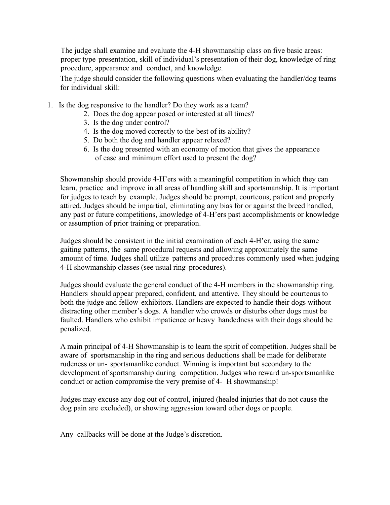The judge shall examine and evaluate the 4-H showmanship class on five basic areas: proper type presentation, skill of individual's presentation of their dog, knowledge of ring procedure, appearance and conduct, and knowledge.

The judge should consider the following questions when evaluating the handler/dog teams for individual skill:

- 1. Is the dog responsive to the handler? Do they work as a team?
	- 2. Does the dog appear posed or interested at all times?
	- 3. Is the dog under control?
	- 4. Is the dog moved correctly to the best of its ability?
	- 5. Do both the dog and handler appear relaxed?
	- 6. Is the dog presented with an economy of motion that gives the appearance of ease and minimum effort used to present the dog?

Showmanship should provide 4-H'ers with a meaningful competition in which they can learn, practice and improve in all areas of handling skill and sportsmanship. It is important for judges to teach by example. Judges should be prompt, courteous, patient and properly attired. Judges should be impartial, eliminating any bias for or against the breed handled, any past or future competitions, knowledge of 4-H'ers past accomplishments or knowledge or assumption of prior training or preparation.

Judges should be consistent in the initial examination of each 4-H'er, using the same gaiting patterns, the same procedural requests and allowing approximately the same amount of time. Judges shall utilize patterns and procedures commonly used when judging 4-H showmanship classes (see usual ring procedures).

Judges should evaluate the general conduct of the 4-H members in the showmanship ring. Handlers should appear prepared, confident, and attentive. They should be courteous to both the judge and fellow exhibitors. Handlers are expected to handle their dogs without distracting other member's dogs. A handler who crowds or disturbs other dogs must be faulted. Handlers who exhibit impatience or heavy handedness with their dogs should be penalized.

A main principal of 4-H Showmanship is to learn the spirit of competition. Judges shall be aware of sportsmanship in the ring and serious deductions shall be made for deliberate rudeness or un- sportsmanlike conduct. Winning is important but secondary to the development of sportsmanship during competition. Judges who reward un-sportsmanlike conduct or action compromise the very premise of 4- H showmanship!

Judges may excuse any dog out of control, injured (healed injuries that do not cause the dog pain are excluded), or showing aggression toward other dogs or people.

Any callbacks will be done at the Judge's discretion.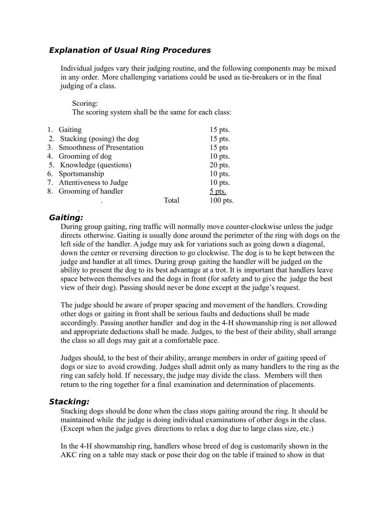## **Explanation of Usual Ring Procedures**

Individual judges vary their judging routine, and the following components may be mixed in any order. More challenging variations could be used as tie-breakers or in the final judging of a class.

#### Scoring: The scoring system shall be the same for each class:

| 1. Gaiting                    |             | $15$ pts.  |
|-------------------------------|-------------|------------|
| 2. Stacking (posing) the dog  |             | 15 pts.    |
| 3. Smoothness of Presentation |             | $15$ pts   |
| 4. Grooming of dog            |             | $10$ pts.  |
| 5. Knowledge (questions)      |             | $20$ pts.  |
| 6. Sportsmanship              |             | $10$ pts.  |
| 7. Attentiveness to Judge     |             | $10$ pts.  |
| 8. Grooming of handler        |             | $5$ pts.   |
|                               | $\rm Total$ | $100$ pts. |

## **Gaiting:**

.

During group gaiting, ring traffic will normally move counter-clockwise unless the judge directs otherwise. Gaiting is usually done around the perimeter of the ring with dogs on the left side of the handler. A judge may ask for variations such as going down a diagonal, down the center or reversing direction to go clockwise. The dog is to be kept between the judge and handler at all times. During group gaiting the handler will be judged on the ability to present the dog to its best advantage at a trot. It is important that handlers leave space between themselves and the dogs in front (for safety and to give the judge the best view of their dog). Passing should never be done except at the judge's request.

The judge should be aware of proper spacing and movement of the handlers. Crowding other dogs or gaiting in front shall be serious faults and deductions shall be made accordingly. Passing another handler and dog in the 4-H showmanship ring is not allowed and appropriate deductions shall be made. Judges, to the best of their ability, shall arrange the class so all dogs may gait at a comfortable pace.

Judges should, to the best of their ability, arrange members in order of gaiting speed of dogs or size to avoid crowding. Judges shall admit only as many handlers to the ring as the ring can safely hold. If necessary, the judge may divide the class. Members will then return to the ring together for a final examination and determination of placements.

#### **Stacking:**

Stacking dogs should be done when the class stops gaiting around the ring. It should be maintained while the judge is doing individual examinations of other dogs in the class. (Except when the judge gives directions to relax a dog due to large class size, etc.)

In the 4-H showmanship ring, handlers whose breed of dog is customarily shown in the AKC ring on a table may stack or pose their dog on the table if trained to show in that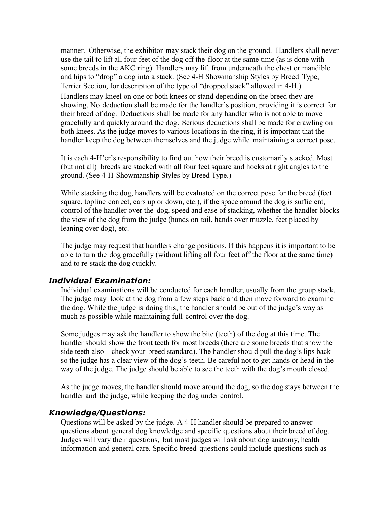manner. Otherwise, the exhibitor may stack their dog on the ground. Handlers shall never use the tail to lift all four feet of the dog off the floor at the same time (as is done with some breeds in the AKC ring). Handlers may lift from underneath the chest or mandible and hips to "drop" a dog into a stack. (See 4-H Showmanship Styles by Breed Type, Terrier Section, for description of the type of "dropped stack" allowed in 4-H.) Handlers may kneel on one or both knees or stand depending on the breed they are showing. No deduction shall be made for the handler's position, providing it is correct for their breed of dog. Deductions shall be made for any handler who is not able to move gracefully and quickly around the dog. Serious deductions shall be made for crawling on both knees. As the judge moves to various locations in the ring, it is important that the handler keep the dog between themselves and the judge while maintaining a correct pose.

It is each 4-H'er's responsibility to find out how their breed is customarily stacked. Most (but not all) breeds are stacked with all four feet square and hocks at right angles to the ground. (See 4-H Showmanship Styles by Breed Type.)

While stacking the dog, handlers will be evaluated on the correct pose for the breed (feet square, topline correct, ears up or down, etc.), if the space around the dog is sufficient, control of the handler over the dog, speed and ease of stacking, whether the handler blocks the view of the dog from the judge (hands on tail, hands over muzzle, feet placed by leaning over dog), etc.

The judge may request that handlers change positions. If this happens it is important to be able to turn the dog gracefully (without lifting all four feet off the floor at the same time) and to re-stack the dog quickly.

#### **Individual Examination:**

Individual examinations will be conducted for each handler, usually from the group stack. The judge may look at the dog from a few steps back and then move forward to examine the dog. While the judge is doing this, the handler should be out of the judge's way as much as possible while maintaining full control over the dog.

Some judges may ask the handler to show the bite (teeth) of the dog at this time. The handler should show the front teeth for most breeds (there are some breeds that show the side teeth also—check your breed standard). The handler should pull the dog's lips back so the judge has a clear view of the dog's teeth. Be careful not to get hands or head in the way of the judge. The judge should be able to see the teeth with the dog's mouth closed.

As the judge moves, the handler should move around the dog, so the dog stays between the handler and the judge, while keeping the dog under control.

#### **Knowledge/Questions:**

Questions will be asked by the judge. A 4-H handler should be prepared to answer questions about general dog knowledge and specific questions about their breed of dog. Judges will vary their questions, but most judges will ask about dog anatomy, health information and general care. Specific breed questions could include questions such as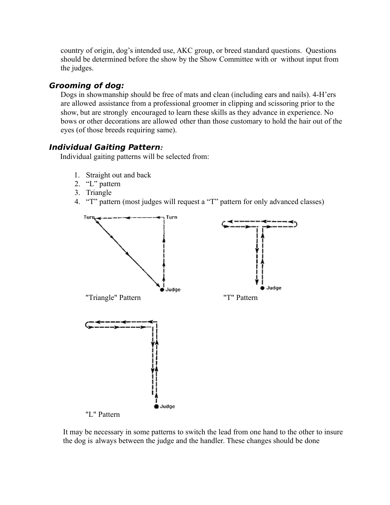country of origin, dog's intended use, AKC group, or breed standard questions. Questions should be determined before the show by the Show Committee with or without input from the judges.

## **Grooming of dog:**

Dogs in showmanship should be free of mats and clean (including ears and nails). 4-H'ers are allowed assistance from a professional groomer in clipping and scissoring prior to the show, but are strongly encouraged to learn these skills as they advance in experience. No bows or other decorations are allowed other than those customary to hold the hair out of the eyes (of those breeds requiring same).

## **Individual Gaiting Pattern***:*

Individual gaiting patterns will be selected from:

- 1. Straight out and back
- 2. "L" pattern
- 3. Triangle
- 4. "T" pattern (most judges will request a "T" pattern for only advanced classes)



It may be necessary in some patterns to switch the lead from one hand to the other to insure the dog is always between the judge and the handler. These changes should be done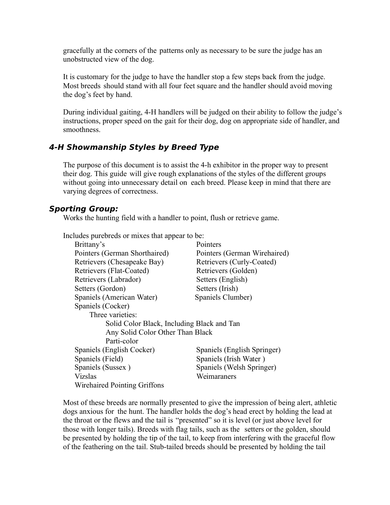gracefully at the corners of the patterns only as necessary to be sure the judge has an unobstructed view of the dog.

It is customary for the judge to have the handler stop a few steps back from the judge. Most breeds should stand with all four feet square and the handler should avoid moving the dog's feet by hand.

During individual gaiting, 4-H handlers will be judged on their ability to follow the judge's instructions, proper speed on the gait for their dog, dog on appropriate side of handler, and smoothness.

#### **4-H Showmanship Styles by Breed Type**

The purpose of this document is to assist the 4-h exhibitor in the proper way to present their dog. This guide will give rough explanations of the styles of the different groups without going into unnecessary detail on each breed. Please keep in mind that there are varying degrees of correctness.

#### **Sporting Group:**

Works the hunting field with a handler to point, flush or retrieve game.

Includes purebreds or mixes that appear to be:

| Brittany's                                 | Pointers                     |  |
|--------------------------------------------|------------------------------|--|
| Pointers (German Shorthaired)              | Pointers (German Wirehaired) |  |
| Retrievers (Chesapeake Bay)                | Retrievers (Curly-Coated)    |  |
| Retrievers (Flat-Coated)                   | Retrievers (Golden)          |  |
| Retrievers (Labrador)                      | Setters (English)            |  |
| Setters (Gordon)                           | Setters (Irish)              |  |
| Spaniels (American Water)                  | Spaniels Clumber)            |  |
| Spaniels (Cocker)                          |                              |  |
| Three varieties:                           |                              |  |
| Solid Color Black, Including Black and Tan |                              |  |
| Any Solid Color Other Than Black           |                              |  |
| Parti-color                                |                              |  |
| Spaniels (English Cocker)                  | Spaniels (English Springer)  |  |
| Spaniels (Field)                           | Spaniels (Irish Water)       |  |
| Spaniels (Sussex)                          | Spaniels (Welsh Springer)    |  |
| <b>Vizslas</b>                             | Weimaraners                  |  |
| Wirehaired Pointing Griffons               |                              |  |

Most of these breeds are normally presented to give the impression of being alert, athletic dogs anxious for the hunt. The handler holds the dog's head erect by holding the lead at the throat or the flews and the tail is "presented" so it is level (or just above level for those with longer tails). Breeds with flag tails, such as the setters or the golden, should be presented by holding the tip of the tail, to keep from interfering with the graceful flow of the feathering on the tail. Stub-tailed breeds should be presented by holding the tail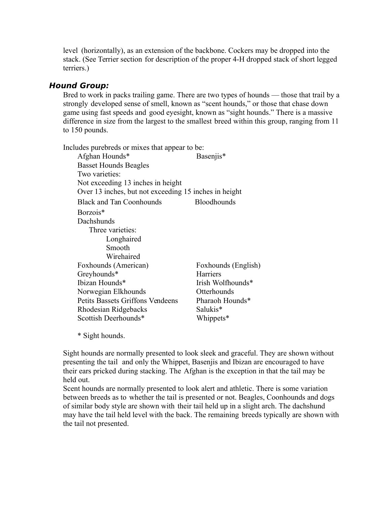level (horizontally), as an extension of the backbone. Cockers may be dropped into the stack. (See Terrier section for description of the proper 4-H dropped stack of short legged terriers.)

## **Hound Group:**

Bred to work in packs trailing game. There are two types of hounds — those that trail by a strongly developed sense of smell, known as "scent hounds," or those that chase down game using fast speeds and good eyesight, known as "sight hounds." There is a massive difference in size from the largest to the smallest breed within this group, ranging from 11 to 150 pounds.

Includes purebreds or mixes that appear to be: Afghan Hounds\* Basenjis\* Basset Hounds Beagles Two varieties: Not exceeding 13 inches in height Over 13 inches, but not exceeding 15 inches in height Black and Tan Coonhounds Bloodhounds Borzois\* Dachshunds Three varieties: Longhaired Smooth Wirehaired Foxhounds (American) Foxhounds (English) Greyhounds\* Harriers Ibizan Hounds\* Irish Wolfhounds\* Norwegian Elkhounds Otterhounds Petits Bassets Griffons Vendeens Pharaoh Hounds\* Rhodesian Ridgebacks Salukis\* Scottish Deerhounds\* Whippets\*

\* Sight hounds.

Sight hounds are normally presented to look sleek and graceful. They are shown without presenting the tail and only the Whippet, Basenjis and Ibizan are encouraged to have their ears pricked during stacking. The Afghan is the exception in that the tail may be held out.

Scent hounds are normally presented to look alert and athletic. There is some variation between breeds as to whether the tail is presented or not. Beagles, Coonhounds and dogs of similar body style are shown with their tail held up in a slight arch. The dachshund may have the tail held level with the back. The remaining breeds typically are shown with the tail not presented.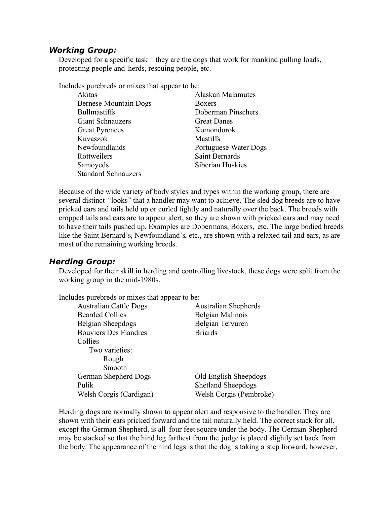#### **Working Group:**

Developed for a specific task—they are the dogs that work for mankind pulling loads, protecting people and herds, rescuing people, etc.

Includes purebreds or mixes that appear to be:

| Akitas                       | <b>Alaskan Malamutes</b> |
|------------------------------|--------------------------|
| <b>Bernese Mountain Dogs</b> | <b>Boxers</b>            |
| <b>Bullmastiffs</b>          | Doberman Pinschers       |
| <b>Giant Schnauzers</b>      | <b>Great Danes</b>       |
| <b>Great Pyrenees</b>        | Komondorok               |
| Kuvaszok                     | <b>Mastiffs</b>          |
| Newfoundlands                | Portuguese Water Dogs    |
| Rottweilers                  | <b>Saint Bernards</b>    |
| Samoyeds                     | Siberian Huskies         |
| <b>Standard Schnauzers</b>   |                          |

Because of the wide variety of body styles and types within the working group, there are several distinct "looks" that a handler may want to achieve. The sled dog breeds are to have pricked ears and tails held up or curled tightly and naturally over the back. The breeds with cropped tails and ears are to appear alert, so they are shown with pricked ears and may need to have their tails pushed up. Examples are Dobermans, Boxers, etc. The large bodied breeds like the Saint Bernard's, Newfoundland's, etc., are shown with a relaxed tail and ears, as are most of the remaining working breeds.

#### **Herding Group:**

Developed for their skill in herding and controlling livestock, these dogs were split from the working group in the mid-1980s.

| Includes purebreds or mixes that appear to be: |                             |
|------------------------------------------------|-----------------------------|
| <b>Australian Cattle Dogs</b>                  | <b>Australian Shepherds</b> |
| <b>Bearded Collies</b>                         | Belgian Malinois            |
| Belgian Sheepdogs                              | Belgian Tervuren            |
| <b>Bouviers Des Flandres</b>                   | <b>Briards</b>              |
| Collies                                        |                             |
| Two varieties:                                 |                             |
| Rough                                          |                             |
| Smooth                                         |                             |
| German Shepherd Dogs                           | Old English Sheepdogs       |
| Pulik                                          | <b>Shetland Sheepdogs</b>   |

Welsh Corgis (Cardigan) Welsh Corgis (Pembroke)

Herding dogs are normally shown to appear alert and responsive to the handler. They are shown with their ears pricked forward and the tail naturally held. The correct stack for all, except the German Shepherd, is all four feet square under the body. The German Shepherd may be stacked so that the hind leg farthest from the judge is placed slightly set back from the body. The appearance of the hind legs is that the dog is taking a step forward, however,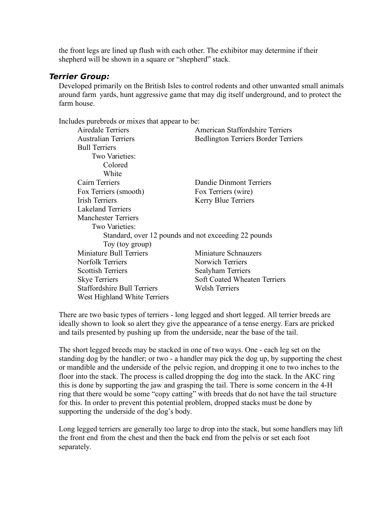the front legs are lined up flush with each other. The exhibitor may determine if their shepherd will be shown in a square or "shepherd" stack.

#### **Terrier Group:**

Developed primarily on the British Isles to control rodents and other unwanted small animals around farm yards, hunt aggressive game that may dig itself underground, and to protect the farm house.

Includes purebreds or mixes that appear to be:

| Airedale Terriers                                    | American Staffordshire Terriers            |
|------------------------------------------------------|--------------------------------------------|
|                                                      |                                            |
| <b>Australian Terriers</b>                           | <b>Bedlington Terriers Border Terriers</b> |
| <b>Bull Terriers</b>                                 |                                            |
| Two Varieties:                                       |                                            |
| Colored                                              |                                            |
| White                                                |                                            |
| Cairn Terriers                                       | Dandie Dinmont Terriers                    |
| Fox Terriers (smooth)                                | Fox Terriers (wire)                        |
| <b>Irish Terriers</b>                                | <b>Kerry Blue Terriers</b>                 |
| <b>Lakeland Terriers</b>                             |                                            |
| <b>Manchester Terriers</b>                           |                                            |
| Two Varieties:                                       |                                            |
| Standard, over 12 pounds and not exceeding 22 pounds |                                            |
| Toy (toy group)                                      |                                            |
| Miniature Bull Terriers                              | Miniature Schnauzers                       |
| <b>Norfolk Terriers</b>                              | Norwich Terriers                           |
| <b>Scottish Terriers</b>                             | Sealyham Terriers                          |
| <b>Skye Terriers</b>                                 | <b>Soft Coated Wheaten Terriers</b>        |
| <b>Staffordshire Bull Terriers</b>                   | <b>Welsh Terriers</b>                      |
| West Highland White Terriers                         |                                            |
|                                                      |                                            |

There are two basic types of terriers - long legged and short legged. All terrier breeds are ideally shown to look so alert they give the appearance of a tense energy. Ears are pricked and tails presented by pushing up from the underside, near the base of the tail.

The short legged breeds may be stacked in one of two ways. One - each leg set on the standing dog by the handler; or two - a handler may pick the dog up, by supporting the chest or mandible and the underside of the pelvic region, and dropping it one to two inches to the floor into the stack. The process is called dropping the dog into the stack. In the AKC ring this is done by supporting the jaw and grasping the tail. There is some concern in the 4-H ring that there would be some "copy catting" with breeds that do not have the tail structure for this. In order to prevent this potential problem, dropped stacks must be done by supporting the underside of the dog's body.

Long legged terriers are generally too large to drop into the stack, but some handlers may lift the front end from the chest and then the back end from the pelvis or set each foot separately.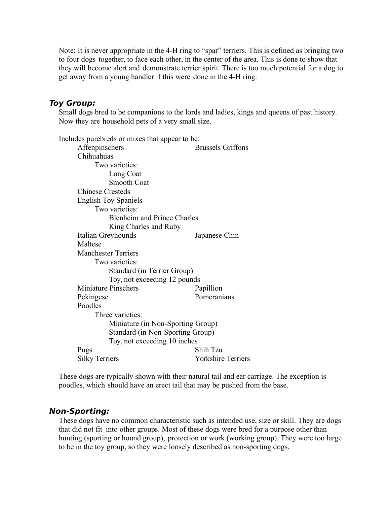Note: It is never appropriate in the 4-H ring to "spar" terriers. This is defined as bringing two to four dogs together, to face each other, in the center of the area. This is done to show that they will become alert and demonstrate terrier spirit. There is too much potential for a dog to get away from a young handler if this were done in the 4-H ring.

#### **Toy Group:**

Small dogs bred to be companions to the lords and ladies, kings and queens of past history. Now they are household pets of a very small size.

Includes purebreds or mixes that appear to be: Affenpinschers Brussels Griffons Chihuahuas Two varieties: Long Coat Smooth Coat Chinese Cresteds English Toy Spaniels Two varieties: Blenheim and Prince Charles King Charles and Ruby Italian Greyhounds Japanese Chin Maltese Manchester Terriers Two varieties: Standard (in Terrier Group) Toy, not exceeding 12 pounds Miniature Pinschers Papillion Pekingese Pomeranians Poodles Three varieties: Miniature (in Non-Sporting Group) Standard (in Non-Sporting Group) Toy, not exceeding 10 inches Pugs Shih Tzu Silky Terriers Yorkshire Terriers

These dogs are typically shown with their natural tail and ear carriage. The exception is poodles, which should have an erect tail that may be pushed from the base.

#### **Non-Sporting:**

These dogs have no common characteristic such as intended use, size or skill. They are dogs that did not fit into other groups. Most of these dogs were bred for a purpose other than hunting (sporting or hound group), protection or work (working group). They were too large to be in the toy group, so they were loosely described as non-sporting dogs.